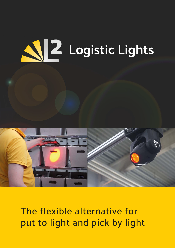# **Logistic Lights**



## The flexible alternative for put to light and pick by light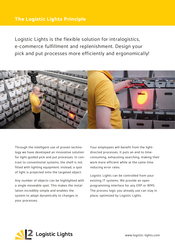#### **The Logistic Lights Principle**

Logistic Lights is the flexible solution for intralogistics, e-commerce fulfillment and replenishment. Design your pick and put processes more efficiently and ergonomically!



Through the intelligent use of proven technology we have developed an innovative solution for light-guided pick and put processes. In contrast to conventional systems, the shelf is not fitted with lighting equipment; instead, a spot of light is projected onto the targeted object.

Any number of objects can be highlighted with a single moveable spot. This makes the installation incredibly simple and enables the system to adapt dynamically to changes in your processes.

Your employees will benefit from the lightdirected processes. It puts an end to timeconsuming, exhausting searching, making their work more efficient while at the same time reducing error rates.

Logistic Lights can be controlled from your existing IT systems. We provide an open programming interface for any ERP or WMS. The process logic you already use can stay in place, optimized by Logistic Lights.

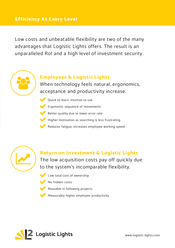#### **Efficiency At Every Level**

Low costs and unbeatable flexibility are two of the many advantages that Logistic Lights offers. The result is an unparalleled RoI and a high level of investment security.



#### **Employees & Logistic Lights**

When technology feels natural, ergonomics, acceptance and productivity increase.

- Quick to learn, intuitive to use
- Ergonomic sequence of movements
- Better quality due to lower error rate
- Higher motivation as searching is less frustrating
	- Reduces fatigue, increases employee working speed



#### **Return on Investment & Logistic Lights** The low acquisition costs pay off quickly due to the system's incomparable flexibility.

- Low total cost of ownership
	- No hidden costs
	- Reusable in following projects
- Measurably higher employee productivity

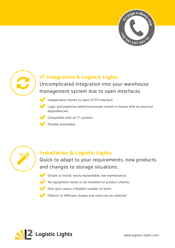



#### **IT-Integration & Logistic Lights**

Uncomplicated integration into your warehouse management system due to open interfaces.



Independent thanks to open HTTP interface

Logic and expertise behind processes remain in-house with no external dependencies

Compatible with all IT systems

Flexibly extendible



#### **Installation & Logistic Lights**

Quick to adapt to your requirements, new products and changes to storage situations.

- Simple to install, easily expandable, low maintenance
- No equipment needs to be installed on product shelves
- One spot covers a flexible number of items
- Objects of different shapes and sizes can be selected

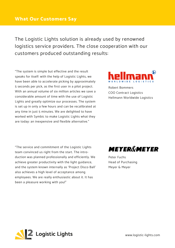The Logistic Lights solution is already used by renowned logistics service providers. The close cooperation with our customers produced outstanding results:

"The system is simple but effective and the result speaks for itself: with the help of Logistic Lights, we have been able to accelerate picking by approximately 5 seconds per pick, as the first user in a pilot project. With an annual volume of six million articles we save a considerable amount of time with the use of Logistic Lights and greatly optimize our processes. The system is set up in only a few hours and can be recalibrated at any time in just 5 minutes. We are delighted to have worked with Symbic to make Logistic Lights what they are today: an inexpensive and flexible alternative."



Robert Bommers COO Contract Logistics Hellmann Worldwide Logistics

"The service and commitment of the Logistic Lights team convinced us right from the start. The introduction was planned professionally and efficiently. We achieve greater productivity with the light guidance, and the system known internally as 'Project Disco Ball' also achieves a high level of acceptance among employees. We are really enthusiastic about it. It has been a pleasure working with you!"



Peter Fuchs Head of Purchasing Meyer & Meyer